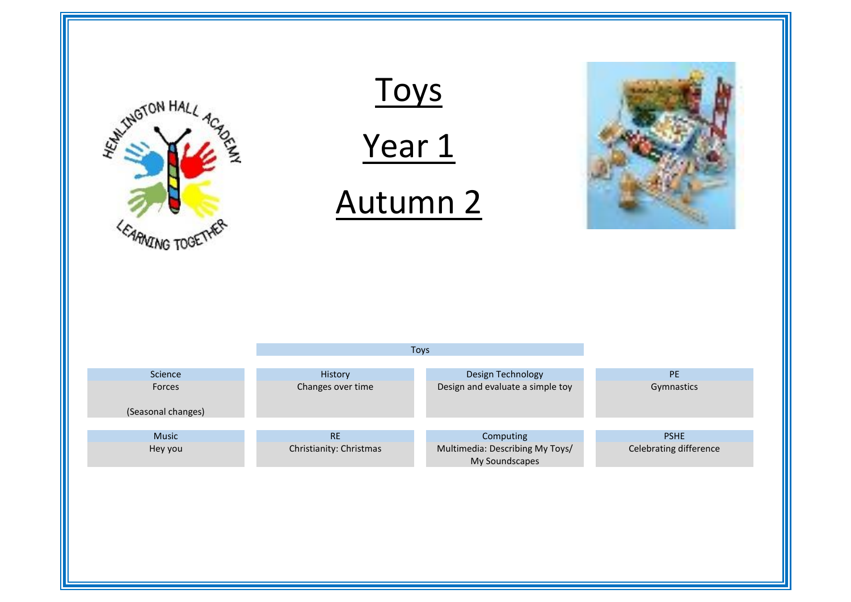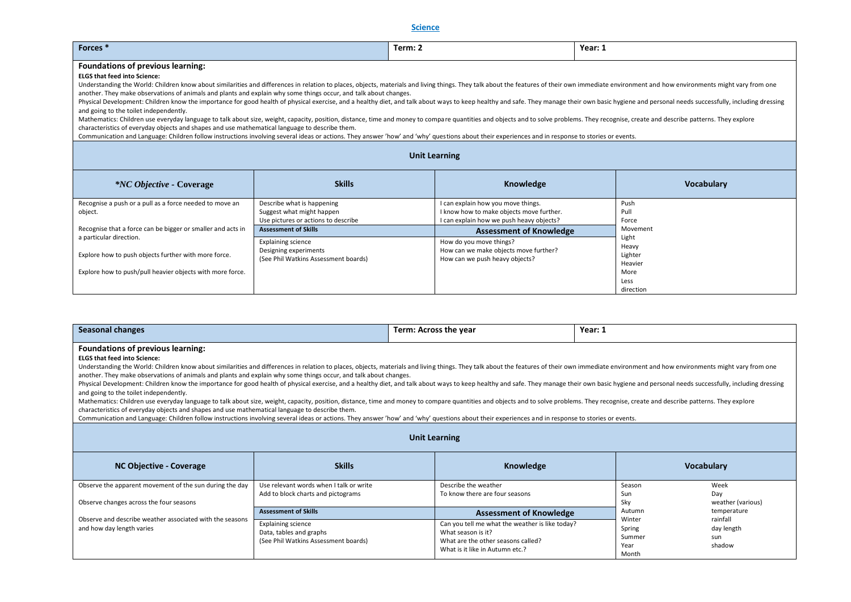## **Science**

| Forces <sup>*</sup>                                                                                                                                                                                                                                                                                                                                                                                                                                                                                                                                                                                                                                                                                                                                                                                                                                                                                                                                                                                                                                                                                                                                                                                                                                |                                                                                                | Term: 2                                                                                                                    | Year: 1               |  |  |
|----------------------------------------------------------------------------------------------------------------------------------------------------------------------------------------------------------------------------------------------------------------------------------------------------------------------------------------------------------------------------------------------------------------------------------------------------------------------------------------------------------------------------------------------------------------------------------------------------------------------------------------------------------------------------------------------------------------------------------------------------------------------------------------------------------------------------------------------------------------------------------------------------------------------------------------------------------------------------------------------------------------------------------------------------------------------------------------------------------------------------------------------------------------------------------------------------------------------------------------------------|------------------------------------------------------------------------------------------------|----------------------------------------------------------------------------------------------------------------------------|-----------------------|--|--|
| Foundations of previous learning:<br><b>ELGS that feed into Science:</b><br>Understanding the World: Children know about similarities and differences in relation to places, objects, materials and living things. They talk about the features of their own immediate environment and how environments mi<br>another. They make observations of animals and plants and explain why some things occur, and talk about changes.<br>Physical Development: Children know the importance for good health of physical exercise, and a healthy diet, and talk about ways to keep healthy and safe. They manage their own basic hygiene and personal needs successfully<br>and going to the toilet independently.<br>Mathematics: Children use everyday language to talk about size, weight, capacity, position, distance, time and money to compare quantities and objects and to solve problems. They recognise, create and describe patterns. Th<br>characteristics of everyday objects and shapes and use mathematical language to describe them.<br>Communication and Language: Children follow instructions involving several ideas or actions. They answer 'how' and 'why' questions about their experiences and in response to stories or events. |                                                                                                |                                                                                                                            |                       |  |  |
|                                                                                                                                                                                                                                                                                                                                                                                                                                                                                                                                                                                                                                                                                                                                                                                                                                                                                                                                                                                                                                                                                                                                                                                                                                                    |                                                                                                | <b>Unit Learning</b>                                                                                                       |                       |  |  |
| <i>*NC Objective</i> - Coverage                                                                                                                                                                                                                                                                                                                                                                                                                                                                                                                                                                                                                                                                                                                                                                                                                                                                                                                                                                                                                                                                                                                                                                                                                    | <b>Skills</b>                                                                                  | Knowledge                                                                                                                  | <b>Vocabulary</b>     |  |  |
| Recognise a push or a pull as a force needed to move an<br>object.                                                                                                                                                                                                                                                                                                                                                                                                                                                                                                                                                                                                                                                                                                                                                                                                                                                                                                                                                                                                                                                                                                                                                                                 | Describe what is happening<br>Suggest what might happen<br>Use pictures or actions to describe | I can explain how you move things.<br>I know how to make objects move further.<br>I can explain how we push heavy objects? | Push<br>Pull<br>Force |  |  |
| Recognise that a force can be bigger or smaller and acts in                                                                                                                                                                                                                                                                                                                                                                                                                                                                                                                                                                                                                                                                                                                                                                                                                                                                                                                                                                                                                                                                                                                                                                                        | <b>Assessment of Skills</b>                                                                    | <b>Assessment of Knowledge</b>                                                                                             | Movement              |  |  |
| a particular direction.<br>Light<br><b>Explaining science</b><br>How do you move things?<br>How can we make objects move further?<br>Designing experiments<br>Explore how to push objects further with more force.<br>(See Phil Watkins Assessment boards)<br>How can we push heavy objects?<br>Explore how to push/pull heavier objects with more force.<br>Less                                                                                                                                                                                                                                                                                                                                                                                                                                                                                                                                                                                                                                                                                                                                                                                                                                                                                  |                                                                                                | Heavy<br>Lighter<br>Heavier<br>More                                                                                        |                       |  |  |

direction

| <b>Seasonal changes</b>                                                                                                                                                                                                                                                                                                                                                                                                                                                                                                                                                                                                                                                                                                                                                                                                                                                                                                                                                                                                                                                                                                                                                                                                                                                           |                                                                                                                             | Term: Across the year                                                                                                                                                            | Year: 1                                               |                                                        |  |
|-----------------------------------------------------------------------------------------------------------------------------------------------------------------------------------------------------------------------------------------------------------------------------------------------------------------------------------------------------------------------------------------------------------------------------------------------------------------------------------------------------------------------------------------------------------------------------------------------------------------------------------------------------------------------------------------------------------------------------------------------------------------------------------------------------------------------------------------------------------------------------------------------------------------------------------------------------------------------------------------------------------------------------------------------------------------------------------------------------------------------------------------------------------------------------------------------------------------------------------------------------------------------------------|-----------------------------------------------------------------------------------------------------------------------------|----------------------------------------------------------------------------------------------------------------------------------------------------------------------------------|-------------------------------------------------------|--------------------------------------------------------|--|
| <b>Foundations of previous learning:</b><br><b>ELGS that feed into Science:</b><br>Understanding the World: Children know about similarities and differences in relation to places, objects, materials and living things. They talk about the features of their own immediate environment and how environments mi<br>another. They make observations of animals and plants and explain why some things occur, and talk about changes.<br>Physical Development: Children know the importance for good health of physical exercise, and a healthy diet, and talk about ways to keep healthy and safe. They manage their own basic hygiene and personal needs successfully<br>and going to the toilet independently.<br>Mathematics: Children use everyday language to talk about size, weight, capacity, position, distance, time and money to compare quantities and objects and to solve problems. They recognise, create and describe patterns. Th<br>characteristics of everyday objects and shapes and use mathematical language to describe them.<br>Communication and Language: Children follow instructions involving several ideas or actions. They answer 'how' and 'why' questions about their experiences and in response to stories or events.<br><b>Unit Learning</b> |                                                                                                                             |                                                                                                                                                                                  |                                                       |                                                        |  |
| NC Objective - Coverage                                                                                                                                                                                                                                                                                                                                                                                                                                                                                                                                                                                                                                                                                                                                                                                                                                                                                                                                                                                                                                                                                                                                                                                                                                                           | <b>Skills</b>                                                                                                               | Knowledge                                                                                                                                                                        |                                                       | <b>Vocabulary</b>                                      |  |
| Observe the apparent movement of the sun during the day<br>Observe changes across the four seasons                                                                                                                                                                                                                                                                                                                                                                                                                                                                                                                                                                                                                                                                                                                                                                                                                                                                                                                                                                                                                                                                                                                                                                                | Use relevant words when I talk or write<br>Add to block charts and pictograms                                               | Describe the weather<br>To know there are four seasons                                                                                                                           | Season<br>Sun<br>Sky                                  | Week<br>Day<br>weather (various)                       |  |
| Observe and describe weather associated with the seasons<br>and how day length varies                                                                                                                                                                                                                                                                                                                                                                                                                                                                                                                                                                                                                                                                                                                                                                                                                                                                                                                                                                                                                                                                                                                                                                                             | <b>Assessment of Skills</b><br><b>Explaining science</b><br>Data, tables and graphs<br>(See Phil Watkins Assessment boards) | <b>Assessment of Knowledge</b><br>Can you tell me what the weather is like today?<br>What season is it?<br>What are the other seasons called?<br>What is it like in Autumn etc.? | Autumn<br>Winter<br>Spring<br>Summer<br>Year<br>Month | temperature<br>rainfall<br>day length<br>sun<br>shadow |  |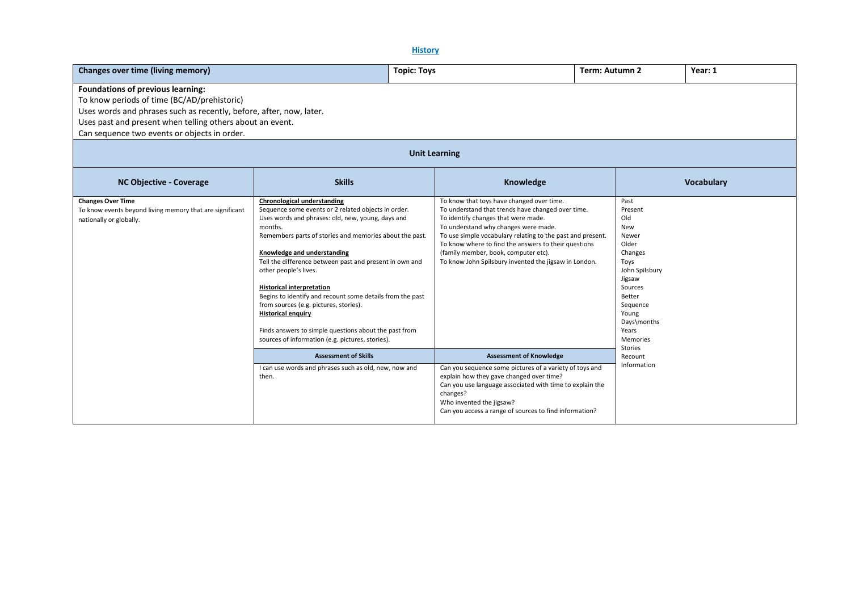### **History**

| Changes over time (living memory)                                                                                                                                                                                                                                    |                                                                                                                                                                                                                                                                                                                                                                                                                                                                                                                                                                                                                              | <b>Topic: Toys</b>                                                                                                                                                                                                                                                                                                                                                                                   | Term: Autumn 2                                                                                                                                                                                 | Year: 1           |
|----------------------------------------------------------------------------------------------------------------------------------------------------------------------------------------------------------------------------------------------------------------------|------------------------------------------------------------------------------------------------------------------------------------------------------------------------------------------------------------------------------------------------------------------------------------------------------------------------------------------------------------------------------------------------------------------------------------------------------------------------------------------------------------------------------------------------------------------------------------------------------------------------------|------------------------------------------------------------------------------------------------------------------------------------------------------------------------------------------------------------------------------------------------------------------------------------------------------------------------------------------------------------------------------------------------------|------------------------------------------------------------------------------------------------------------------------------------------------------------------------------------------------|-------------------|
| Foundations of previous learning:<br>To know periods of time (BC/AD/prehistoric)<br>Uses words and phrases such as recently, before, after, now, later.<br>Uses past and present when telling others about an event.<br>Can sequence two events or objects in order. |                                                                                                                                                                                                                                                                                                                                                                                                                                                                                                                                                                                                                              |                                                                                                                                                                                                                                                                                                                                                                                                      |                                                                                                                                                                                                |                   |
|                                                                                                                                                                                                                                                                      |                                                                                                                                                                                                                                                                                                                                                                                                                                                                                                                                                                                                                              | <b>Unit Learning</b>                                                                                                                                                                                                                                                                                                                                                                                 |                                                                                                                                                                                                |                   |
| <b>NC Objective - Coverage</b>                                                                                                                                                                                                                                       | <b>Skills</b>                                                                                                                                                                                                                                                                                                                                                                                                                                                                                                                                                                                                                | Knowledge                                                                                                                                                                                                                                                                                                                                                                                            |                                                                                                                                                                                                | <b>Vocabulary</b> |
| <b>Changes Over Time</b><br>To know events beyond living memory that are significant<br>nationally or globally.                                                                                                                                                      | <b>Chronological understanding</b><br>Sequence some events or 2 related objects in order.<br>Uses words and phrases: old, new, young, days and<br>months.<br>Remembers parts of stories and memories about the past.<br>Knowledge and understanding<br>Tell the difference between past and present in own and<br>other people's lives.<br><b>Historical interpretation</b><br>Begins to identify and recount some details from the past<br>from sources (e.g. pictures, stories).<br><b>Historical enquiry</b><br>Finds answers to simple questions about the past from<br>sources of information (e.g. pictures, stories). | To know that toys have changed over time.<br>To understand that trends have changed over time.<br>To identify changes that were made.<br>To understand why changes were made.<br>To use simple vocabulary relating to the past and present.<br>To know where to find the answers to their questions<br>(family member, book, computer etc).<br>To know John Spilsbury invented the jigsaw in London. | Past<br>Present<br>Old<br>New<br>Newer<br>Older<br>Changes<br>Toys<br>John Spilsbury<br>Jigsaw<br>Sources<br>Better<br>Sequence<br>Young<br>Days\months<br>Years<br>Memories<br><b>Stories</b> |                   |
|                                                                                                                                                                                                                                                                      | <b>Assessment of Skills</b>                                                                                                                                                                                                                                                                                                                                                                                                                                                                                                                                                                                                  | <b>Assessment of Knowledge</b>                                                                                                                                                                                                                                                                                                                                                                       | Recount                                                                                                                                                                                        |                   |
|                                                                                                                                                                                                                                                                      | I can use words and phrases such as old, new, now and<br>then.                                                                                                                                                                                                                                                                                                                                                                                                                                                                                                                                                               | Can you sequence some pictures of a variety of toys and<br>explain how they gave changed over time?<br>Can you use language associated with time to explain the<br>changes?<br>Who invented the jigsaw?<br>Can you access a range of sources to find information?                                                                                                                                    | Information                                                                                                                                                                                    |                   |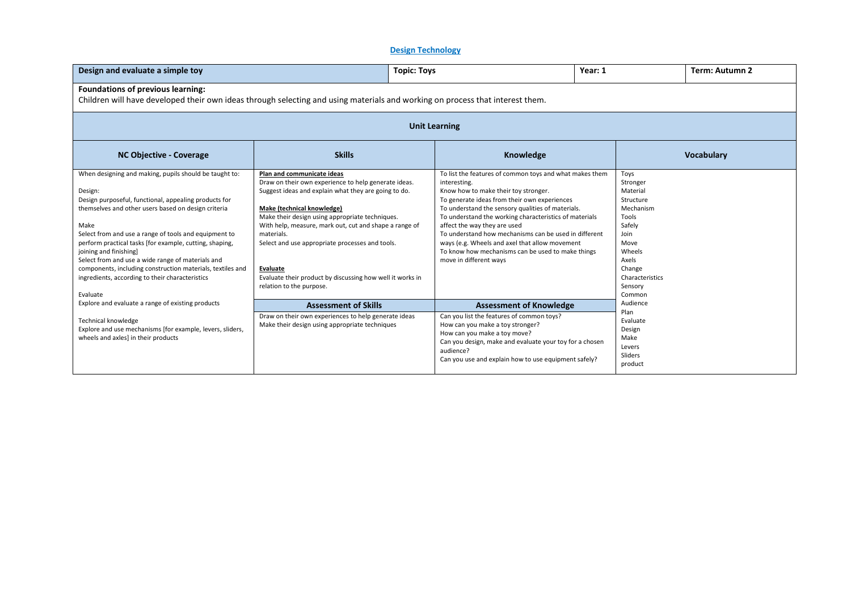# **Design Technology**

| Design and evaluate a simple toy                                                                                                                                                                                                                                                                                                                                                                                                                                                                                          |                                                                                                                                                                                                                                                                                                                                                                                                                                                                    | Year: 1<br><b>Topic: Toys</b> |                                                                                                                                                                                                                                                                                                                                                                                                                                                                                                          |  |                                                                                                                                                                | Term: Autumn 2    |
|---------------------------------------------------------------------------------------------------------------------------------------------------------------------------------------------------------------------------------------------------------------------------------------------------------------------------------------------------------------------------------------------------------------------------------------------------------------------------------------------------------------------------|--------------------------------------------------------------------------------------------------------------------------------------------------------------------------------------------------------------------------------------------------------------------------------------------------------------------------------------------------------------------------------------------------------------------------------------------------------------------|-------------------------------|----------------------------------------------------------------------------------------------------------------------------------------------------------------------------------------------------------------------------------------------------------------------------------------------------------------------------------------------------------------------------------------------------------------------------------------------------------------------------------------------------------|--|----------------------------------------------------------------------------------------------------------------------------------------------------------------|-------------------|
| Foundations of previous learning:<br>Children will have developed their own ideas through selecting and using materials and working on process that interest them.                                                                                                                                                                                                                                                                                                                                                        |                                                                                                                                                                                                                                                                                                                                                                                                                                                                    |                               |                                                                                                                                                                                                                                                                                                                                                                                                                                                                                                          |  |                                                                                                                                                                |                   |
|                                                                                                                                                                                                                                                                                                                                                                                                                                                                                                                           | <b>Unit Learning</b>                                                                                                                                                                                                                                                                                                                                                                                                                                               |                               |                                                                                                                                                                                                                                                                                                                                                                                                                                                                                                          |  |                                                                                                                                                                |                   |
| <b>NC Objective - Coverage</b>                                                                                                                                                                                                                                                                                                                                                                                                                                                                                            | <b>Skills</b>                                                                                                                                                                                                                                                                                                                                                                                                                                                      |                               | Knowledge                                                                                                                                                                                                                                                                                                                                                                                                                                                                                                |  |                                                                                                                                                                | <b>Vocabulary</b> |
| When designing and making, pupils should be taught to:<br>Design:<br>Design purposeful, functional, appealing products for<br>themselves and other users based on design criteria<br>Make<br>Select from and use a range of tools and equipment to<br>perform practical tasks [for example, cutting, shaping,<br>joining and finishing]<br>Select from and use a wide range of materials and<br>components, including construction materials, textiles and<br>ingredients, according to their characteristics<br>Evaluate | Plan and communicate ideas<br>Draw on their own experience to help generate ideas.<br>Suggest ideas and explain what they are going to do.<br>Make (technical knowledge)<br>Make their design using appropriate techniques.<br>With help, measure, mark out, cut and shape a range of<br>materials.<br>Select and use appropriate processes and tools.<br><b>Evaluate</b><br>Evaluate their product by discussing how well it works in<br>relation to the purpose. |                               | To list the features of common toys and what makes them<br>interesting.<br>Know how to make their toy stronger.<br>To generate ideas from their own experiences<br>To understand the sensory qualities of materials.<br>To understand the working characteristics of materials<br>affect the way they are used<br>To understand how mechanisms can be used in different<br>ways (e.g. Wheels and axel that allow movement<br>To know how mechanisms can be used to make things<br>move in different ways |  | Toys<br>Stronger<br>Material<br>Structure<br>Mechanism<br>Tools<br>Safely<br>Join<br>Move<br>Wheels<br>Axels<br>Change<br>Characteristics<br>Sensory<br>Common |                   |
| Explore and evaluate a range of existing products<br><b>Technical knowledge</b><br>Explore and use mechanisms [for example, levers, sliders,<br>wheels and axles] in their products                                                                                                                                                                                                                                                                                                                                       | <b>Assessment of Skills</b><br>Draw on their own experiences to help generate ideas<br>Make their design using appropriate techniques                                                                                                                                                                                                                                                                                                                              |                               | <b>Assessment of Knowledge</b><br>Can you list the features of common toys?<br>How can you make a toy stronger?<br>How can you make a toy move?<br>Can you design, make and evaluate your toy for a chosen                                                                                                                                                                                                                                                                                               |  | Audience<br>Plan<br>Evaluate<br>Design<br>Make                                                                                                                 |                   |
|                                                                                                                                                                                                                                                                                                                                                                                                                                                                                                                           |                                                                                                                                                                                                                                                                                                                                                                                                                                                                    |                               | audience?<br>Can you use and explain how to use equipment safely?                                                                                                                                                                                                                                                                                                                                                                                                                                        |  | Levers<br>Sliders<br>product                                                                                                                                   |                   |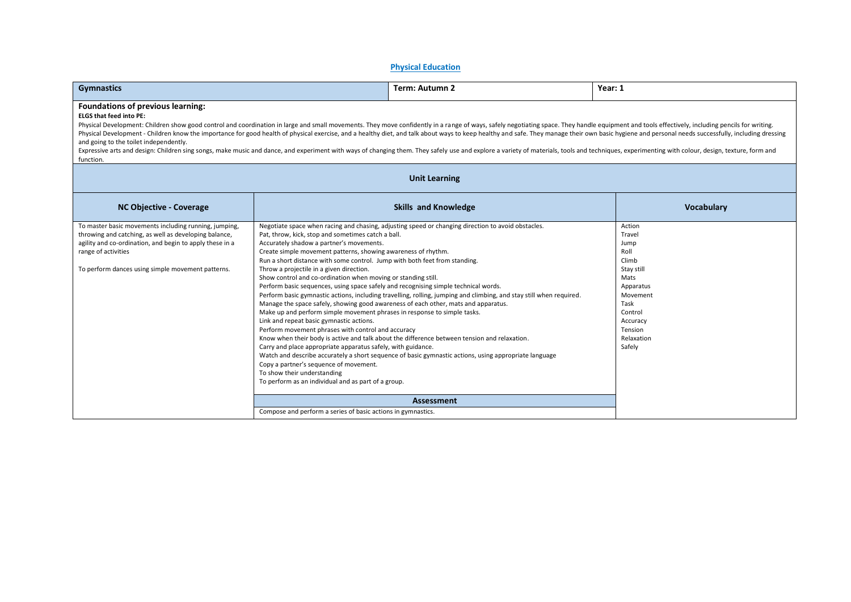### **Physical Education**

| <b>Gymnastics</b>                                                                                                                                                                                                                                                                                                                                                                                                                                                                                                                                                                                                                                                                                                                                                                                                                |                                                                                                                                                                                                                                                                                                                                                                                                                                                                                                                                                                                                                                                                                                                                                                                                                                                                                                                       | Term: Autumn 2                                                                                                                                                                                                                                                                                                                                                                                                                                          | Year: 1                                                                                                                                                    |  |
|----------------------------------------------------------------------------------------------------------------------------------------------------------------------------------------------------------------------------------------------------------------------------------------------------------------------------------------------------------------------------------------------------------------------------------------------------------------------------------------------------------------------------------------------------------------------------------------------------------------------------------------------------------------------------------------------------------------------------------------------------------------------------------------------------------------------------------|-----------------------------------------------------------------------------------------------------------------------------------------------------------------------------------------------------------------------------------------------------------------------------------------------------------------------------------------------------------------------------------------------------------------------------------------------------------------------------------------------------------------------------------------------------------------------------------------------------------------------------------------------------------------------------------------------------------------------------------------------------------------------------------------------------------------------------------------------------------------------------------------------------------------------|---------------------------------------------------------------------------------------------------------------------------------------------------------------------------------------------------------------------------------------------------------------------------------------------------------------------------------------------------------------------------------------------------------------------------------------------------------|------------------------------------------------------------------------------------------------------------------------------------------------------------|--|
| Foundations of previous learning:<br><b>ELGS that feed into PE:</b><br>Physical Development: Children show good control and coordination in large and small movements. They move confidently in a range of ways, safely negotiating space. They handle equipment and tools effectively, including pen<br>Physical Development - Children know the importance for good health of physical exercise, and a healthy diet, and talk about ways to keep healthy and safe. They manage their own basic hygiene and personal needs successfull<br>and going to the toilet independently.<br>Expressive arts and design: Children sing songs, make music and dance, and experiment with ways of changing them. They safely use and explore a variety of materials, tools and techniques, experimenting with colour, design,<br>function. |                                                                                                                                                                                                                                                                                                                                                                                                                                                                                                                                                                                                                                                                                                                                                                                                                                                                                                                       |                                                                                                                                                                                                                                                                                                                                                                                                                                                         |                                                                                                                                                            |  |
|                                                                                                                                                                                                                                                                                                                                                                                                                                                                                                                                                                                                                                                                                                                                                                                                                                  |                                                                                                                                                                                                                                                                                                                                                                                                                                                                                                                                                                                                                                                                                                                                                                                                                                                                                                                       | <b>Unit Learning</b>                                                                                                                                                                                                                                                                                                                                                                                                                                    |                                                                                                                                                            |  |
| <b>NC Objective - Coverage</b>                                                                                                                                                                                                                                                                                                                                                                                                                                                                                                                                                                                                                                                                                                                                                                                                   |                                                                                                                                                                                                                                                                                                                                                                                                                                                                                                                                                                                                                                                                                                                                                                                                                                                                                                                       | <b>Skills and Knowledge</b>                                                                                                                                                                                                                                                                                                                                                                                                                             | <b>Vocabulary</b>                                                                                                                                          |  |
| To master basic movements including running, jumping,<br>throwing and catching, as well as developing balance,<br>agility and co-ordination, and begin to apply these in a<br>range of activities<br>To perform dances using simple movement patterns.                                                                                                                                                                                                                                                                                                                                                                                                                                                                                                                                                                           | Pat, throw, kick, stop and sometimes catch a ball.<br>Accurately shadow a partner's movements.<br>Create simple movement patterns, showing awareness of rhythm.<br>Run a short distance with some control. Jump with both feet from standing.<br>Throw a projectile in a given direction.<br>Show control and co-ordination when moving or standing still.<br>Perform basic sequences, using space safely and recognising simple technical words.<br>Manage the space safely, showing good awareness of each other, mats and apparatus.<br>Make up and perform simple movement phrases in response to simple tasks.<br>Link and repeat basic gymnastic actions.<br>Perform movement phrases with control and accuracy<br>Carry and place appropriate apparatus safely, with guidance.<br>Copy a partner's sequence of movement.<br>To show their understanding<br>To perform as an individual and as part of a group. | Negotiate space when racing and chasing, adjusting speed or changing direction to avoid obstacles.<br>Perform basic gymnastic actions, including travelling, rolling, jumping and climbing, and stay still when required.<br>Know when their body is active and talk about the difference between tension and relaxation.<br>Watch and describe accurately a short sequence of basic gymnastic actions, using appropriate language<br><b>Assessment</b> | Action<br>Travel<br>Jump<br>Roll<br>Climb<br>Stay still<br>Mats<br>Apparatus<br>Movement<br>Task<br>Control<br>Accuracy<br>Tension<br>Relaxation<br>Safely |  |
|                                                                                                                                                                                                                                                                                                                                                                                                                                                                                                                                                                                                                                                                                                                                                                                                                                  | Compose and perform a series of basic actions in gymnastics.                                                                                                                                                                                                                                                                                                                                                                                                                                                                                                                                                                                                                                                                                                                                                                                                                                                          |                                                                                                                                                                                                                                                                                                                                                                                                                                                         |                                                                                                                                                            |  |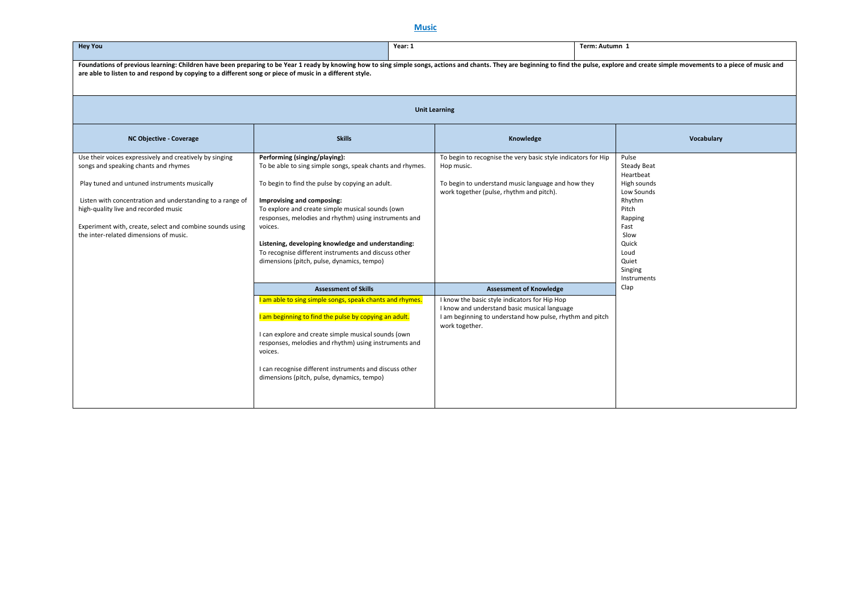## **Music**

| <b>Hey You</b>                                                                                                                                                                                                                                                                                                                                             | Year: 1                                                                                                                                                                                                                                                                                                                                                                                                                                                         |                                                                                                                                                                                                               | Term: Autumn 1                                                                                                                                                          |  |  |  |
|------------------------------------------------------------------------------------------------------------------------------------------------------------------------------------------------------------------------------------------------------------------------------------------------------------------------------------------------------------|-----------------------------------------------------------------------------------------------------------------------------------------------------------------------------------------------------------------------------------------------------------------------------------------------------------------------------------------------------------------------------------------------------------------------------------------------------------------|---------------------------------------------------------------------------------------------------------------------------------------------------------------------------------------------------------------|-------------------------------------------------------------------------------------------------------------------------------------------------------------------------|--|--|--|
| Foundations of previous learning: Children have been preparing to be Year 1 ready by knowing how to sing simple songs, actions and chants. They are beginning to find the pulse, explore and create simple movements to a piec<br>are able to listen to and respond by copying to a different song or piece of music in a different style.                 |                                                                                                                                                                                                                                                                                                                                                                                                                                                                 |                                                                                                                                                                                                               |                                                                                                                                                                         |  |  |  |
|                                                                                                                                                                                                                                                                                                                                                            |                                                                                                                                                                                                                                                                                                                                                                                                                                                                 | <b>Unit Learning</b>                                                                                                                                                                                          |                                                                                                                                                                         |  |  |  |
| NC Objective - Coverage                                                                                                                                                                                                                                                                                                                                    | <b>Skills</b>                                                                                                                                                                                                                                                                                                                                                                                                                                                   | Knowledge                                                                                                                                                                                                     | Vocabulary                                                                                                                                                              |  |  |  |
| Use their voices expressively and creatively by singing<br>songs and speaking chants and rhymes<br>Play tuned and untuned instruments musically<br>Listen with concentration and understanding to a range of<br>high-quality live and recorded music<br>Experiment with, create, select and combine sounds using<br>the inter-related dimensions of music. | Performing (singing/playing):<br>To be able to sing simple songs, speak chants and rhymes.<br>To begin to find the pulse by copying an adult.<br>Improvising and composing:<br>To explore and create simple musical sounds (own<br>responses, melodies and rhythm) using instruments and<br>voices.<br>Listening, developing knowledge and understanding:<br>To recognise different instruments and discuss other<br>dimensions (pitch, pulse, dynamics, tempo) | To begin to recognise the very basic style indicators for Hip<br>Hop music.<br>To begin to understand music language and how they<br>work together (pulse, rhythm and pitch).                                 | Pulse<br><b>Steady Beat</b><br>Heartbeat<br>High sounds<br>Low Sounds<br>Rhythm<br>Pitch<br>Rapping<br>Fast<br>Slow<br>Quick<br>Loud<br>Quiet<br>Singing<br>Instruments |  |  |  |
|                                                                                                                                                                                                                                                                                                                                                            | <b>Assessment of Skills</b><br>I am able to sing simple songs, speak chants and rhymes.<br>I am beginning to find the pulse by copying an adult.<br>I can explore and create simple musical sounds (own<br>responses, melodies and rhythm) using instruments and                                                                                                                                                                                                | <b>Assessment of Knowledge</b><br>I know the basic style indicators for Hip Hop<br>I know and understand basic musical language<br>I am beginning to understand how pulse, rhythm and pitch<br>work together. | Clap                                                                                                                                                                    |  |  |  |
|                                                                                                                                                                                                                                                                                                                                                            | voices.<br>I can recognise different instruments and discuss other<br>dimensions (pitch, pulse, dynamics, tempo)                                                                                                                                                                                                                                                                                                                                                |                                                                                                                                                                                                               |                                                                                                                                                                         |  |  |  |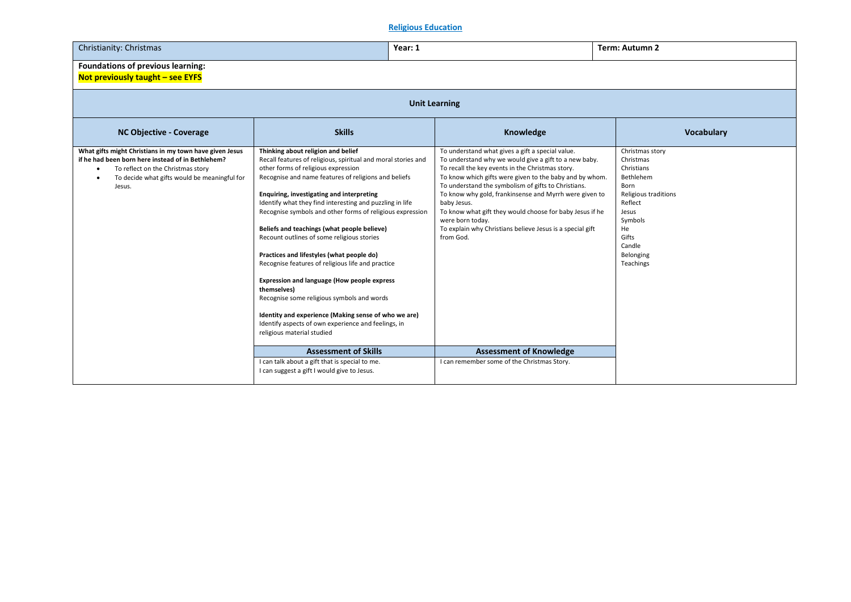# **Religious Education**

| Christianity: Christmas                                                                                                                                                                                                       | Year: 1                                                                                                                                                                                                                                                                                                                                                                                                                                                                                                                                                                                                                                                                                                                                                                                                                                 |                                                                                                                                                                                                                                                                                                                                                                                                                                                                                                                    | Term: Autumn 2                                                                                                                                                            |  |  |  |
|-------------------------------------------------------------------------------------------------------------------------------------------------------------------------------------------------------------------------------|-----------------------------------------------------------------------------------------------------------------------------------------------------------------------------------------------------------------------------------------------------------------------------------------------------------------------------------------------------------------------------------------------------------------------------------------------------------------------------------------------------------------------------------------------------------------------------------------------------------------------------------------------------------------------------------------------------------------------------------------------------------------------------------------------------------------------------------------|--------------------------------------------------------------------------------------------------------------------------------------------------------------------------------------------------------------------------------------------------------------------------------------------------------------------------------------------------------------------------------------------------------------------------------------------------------------------------------------------------------------------|---------------------------------------------------------------------------------------------------------------------------------------------------------------------------|--|--|--|
| <b>Foundations of previous learning:</b><br>Not previously taught - see EYFS                                                                                                                                                  |                                                                                                                                                                                                                                                                                                                                                                                                                                                                                                                                                                                                                                                                                                                                                                                                                                         |                                                                                                                                                                                                                                                                                                                                                                                                                                                                                                                    |                                                                                                                                                                           |  |  |  |
|                                                                                                                                                                                                                               |                                                                                                                                                                                                                                                                                                                                                                                                                                                                                                                                                                                                                                                                                                                                                                                                                                         | <b>Unit Learning</b>                                                                                                                                                                                                                                                                                                                                                                                                                                                                                               |                                                                                                                                                                           |  |  |  |
| <b>NC Objective - Coverage</b>                                                                                                                                                                                                | <b>Skills</b>                                                                                                                                                                                                                                                                                                                                                                                                                                                                                                                                                                                                                                                                                                                                                                                                                           | Knowledge                                                                                                                                                                                                                                                                                                                                                                                                                                                                                                          | <b>Vocabulary</b>                                                                                                                                                         |  |  |  |
| What gifts might Christians in my town have given Jesus<br>if he had been born here instead of in Bethlehem?<br>To reflect on the Christmas story<br>٠<br>To decide what gifts would be meaningful for<br>$\bullet$<br>Jesus. | Thinking about religion and belief<br>Recall features of religious, spiritual and moral stories and<br>other forms of religious expression<br>Recognise and name features of religions and beliefs<br>Enquiring, investigating and interpreting<br>Identify what they find interesting and puzzling in life<br>Recognise symbols and other forms of religious expression<br>Beliefs and teachings (what people believe)<br>Recount outlines of some religious stories<br>Practices and lifestyles (what people do)<br>Recognise features of religious life and practice<br><b>Expression and language (How people express</b><br>themselves)<br>Recognise some religious symbols and words<br>Identity and experience (Making sense of who we are)<br>Identify aspects of own experience and feelings, in<br>religious material studied | To understand what gives a gift a special value.<br>To understand why we would give a gift to a new baby.<br>To recall the key events in the Christmas story.<br>To know which gifts were given to the baby and by whom.<br>To understand the symbolism of gifts to Christians.<br>To know why gold, frankinsense and Myrrh were given to<br>baby Jesus.<br>To know what gift they would choose for baby Jesus if he<br>were born today.<br>To explain why Christians believe Jesus is a special gift<br>from God. | Christmas story<br>Christmas<br>Christians<br>Bethlehem<br>Born<br>Religious traditions<br>Reflect<br>Jesus<br>Symbols<br>He<br>Gifts<br>Candle<br>Belonging<br>Teachings |  |  |  |
|                                                                                                                                                                                                                               | <b>Assessment of Skills</b>                                                                                                                                                                                                                                                                                                                                                                                                                                                                                                                                                                                                                                                                                                                                                                                                             | <b>Assessment of Knowledge</b>                                                                                                                                                                                                                                                                                                                                                                                                                                                                                     |                                                                                                                                                                           |  |  |  |
|                                                                                                                                                                                                                               | I can talk about a gift that is special to me.<br>I can suggest a gift I would give to Jesus.                                                                                                                                                                                                                                                                                                                                                                                                                                                                                                                                                                                                                                                                                                                                           | I can remember some of the Christmas Story.                                                                                                                                                                                                                                                                                                                                                                                                                                                                        |                                                                                                                                                                           |  |  |  |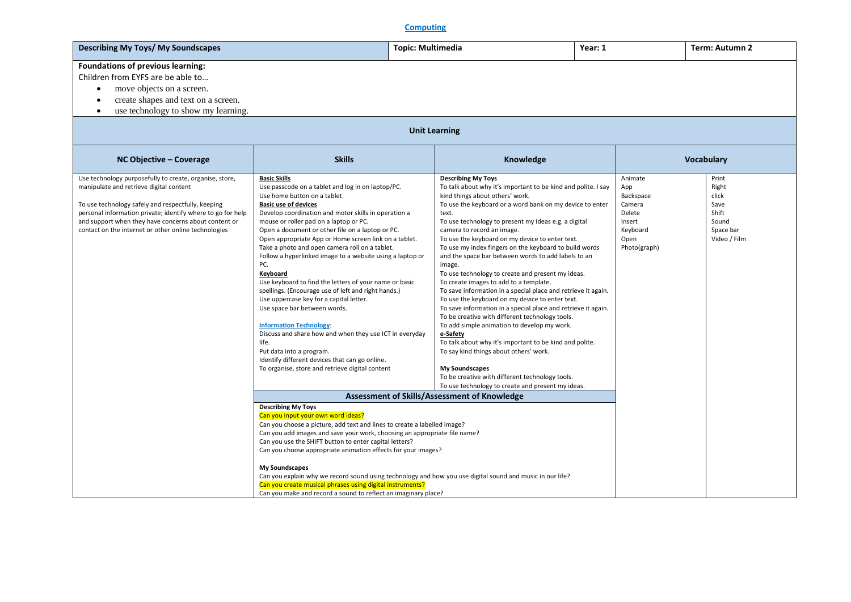# **Computing**

| Describing My Toys/ My Soundscapes  | Topic: Multimedia | Year: 1 | Term: Autumn 2 |
|-------------------------------------|-------------------|---------|----------------|
| Foundations of previous learning:   |                   |         |                |
| Children from EYFS are be able to   |                   |         |                |
| move objects on a screen.           |                   |         |                |
| create shapes and text on a screen. |                   |         |                |
| use technology to show my learning. |                   |         |                |

| <b>Unit Learning</b>                                                                                                                                                                                                                                                                                                                    |                                                                                                                                                                                                                                                                                                                                                                                                                                                                                                                                                                                                                                                                                                                                                                                                                                                                                                                                                                                                                                                                                                                                                                                                                                                                                                                                                                                                                                                                                                                                                        |                                                                                                                                                                                                                                                                                                                                                                                                                                                                                                                                                                                                                                                                                                                                                                                                                                                                                                                                                                                                                                                                                                                                                                |                                                                                               |                                                                                |  |
|-----------------------------------------------------------------------------------------------------------------------------------------------------------------------------------------------------------------------------------------------------------------------------------------------------------------------------------------|--------------------------------------------------------------------------------------------------------------------------------------------------------------------------------------------------------------------------------------------------------------------------------------------------------------------------------------------------------------------------------------------------------------------------------------------------------------------------------------------------------------------------------------------------------------------------------------------------------------------------------------------------------------------------------------------------------------------------------------------------------------------------------------------------------------------------------------------------------------------------------------------------------------------------------------------------------------------------------------------------------------------------------------------------------------------------------------------------------------------------------------------------------------------------------------------------------------------------------------------------------------------------------------------------------------------------------------------------------------------------------------------------------------------------------------------------------------------------------------------------------------------------------------------------------|----------------------------------------------------------------------------------------------------------------------------------------------------------------------------------------------------------------------------------------------------------------------------------------------------------------------------------------------------------------------------------------------------------------------------------------------------------------------------------------------------------------------------------------------------------------------------------------------------------------------------------------------------------------------------------------------------------------------------------------------------------------------------------------------------------------------------------------------------------------------------------------------------------------------------------------------------------------------------------------------------------------------------------------------------------------------------------------------------------------------------------------------------------------|-----------------------------------------------------------------------------------------------|--------------------------------------------------------------------------------|--|
| NC Objective - Coverage                                                                                                                                                                                                                                                                                                                 | <b>Skills</b>                                                                                                                                                                                                                                                                                                                                                                                                                                                                                                                                                                                                                                                                                                                                                                                                                                                                                                                                                                                                                                                                                                                                                                                                                                                                                                                                                                                                                                                                                                                                          | Knowledge                                                                                                                                                                                                                                                                                                                                                                                                                                                                                                                                                                                                                                                                                                                                                                                                                                                                                                                                                                                                                                                                                                                                                      |                                                                                               | <b>Vocabulary</b>                                                              |  |
| Use technology purposefully to create, organise, store,<br>manipulate and retrieve digital content<br>To use technology safely and respectfully, keeping<br>personal information private; identify where to go for help<br>and support when they have concerns about content or<br>contact on the internet or other online technologies | <b>Basic Skills</b><br>Use passcode on a tablet and log in on laptop/PC.<br>Use home button on a tablet.<br><b>Basic use of devices</b><br>Develop coordination and motor skills in operation a<br>mouse or roller pad on a laptop or PC.<br>Open a document or other file on a laptop or PC.<br>Open appropriate App or Home screen link on a tablet.<br>Take a photo and open camera roll on a tablet.<br>Follow a hyperlinked image to a website using a laptop or<br>PC.<br>Keyboard<br>Use keyboard to find the letters of your name or basic<br>spellings. (Encourage use of left and right hands.)<br>Use uppercase key for a capital letter.<br>Use space bar between words.<br><b>Information Technology</b><br>Discuss and share how and when they use ICT in everyday<br>life.<br>Put data into a program.<br>Identify different devices that can go online.<br>To organise, store and retrieve digital content<br><b>Describing My Toys</b><br>Can you input your own word ideas?<br>Can you choose a picture, add text and lines to create a labelled image?<br>Can you add images and save your work, choosing an appropriate file name?<br>Can you use the SHIFT button to enter capital letters?<br>Can you choose appropriate animation effects for your images?<br><b>My Soundscapes</b><br>Can you explain why we record sound using technology and how you use digital sound and music in our life?<br>Can you create musical phrases using digital instruments?<br>Can you make and record a sound to reflect an imaginary place? | <b>Describing My Toys</b><br>To talk about why it's important to be kind and polite. I say<br>kind things about others' work.<br>To use the keyboard or a word bank on my device to enter<br>text.<br>To use technology to present my ideas e.g. a digital<br>camera to record an image.<br>To use the keyboard on my device to enter text.<br>To use my index fingers on the keyboard to build words<br>and the space bar between words to add labels to an<br>image.<br>To use technology to create and present my ideas.<br>To create images to add to a template.<br>To save information in a special place and retrieve it again.<br>To use the keyboard on my device to enter text.<br>To save information in a special place and retrieve it again.<br>To be creative with different technology tools.<br>To add simple animation to develop my work.<br>e-Safety<br>To talk about why it's important to be kind and polite.<br>To say kind things about others' work.<br><b>My Soundscapes</b><br>To be creative with different technology tools.<br>To use technology to create and present my ideas.<br>Assessment of Skills/Assessment of Knowledge | Animate<br>App<br>Backspace<br>Camera<br>Delete<br>Insert<br>Keyboard<br>Open<br>Photo(graph) | Print<br>Right<br>click<br>Save<br>Shift<br>Sound<br>Space bar<br>Video / Film |  |